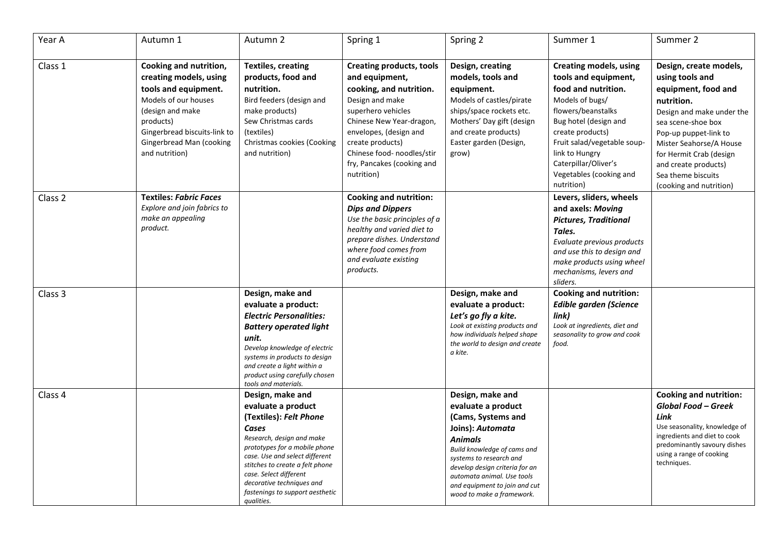| Year A  | Autumn 1                                                                                                                                                                                                        | Autumn 2                                                                                                                                                                                                                                                                                                             | Spring 1                                                                                                                                                                                                                                                                  | Spring 2                                                                                                                                                                                                                                                                                   | Summer 1                                                                                                                                                                                                                                                                             | Summer 2                                                                                                                                                                                                                                                                                  |
|---------|-----------------------------------------------------------------------------------------------------------------------------------------------------------------------------------------------------------------|----------------------------------------------------------------------------------------------------------------------------------------------------------------------------------------------------------------------------------------------------------------------------------------------------------------------|---------------------------------------------------------------------------------------------------------------------------------------------------------------------------------------------------------------------------------------------------------------------------|--------------------------------------------------------------------------------------------------------------------------------------------------------------------------------------------------------------------------------------------------------------------------------------------|--------------------------------------------------------------------------------------------------------------------------------------------------------------------------------------------------------------------------------------------------------------------------------------|-------------------------------------------------------------------------------------------------------------------------------------------------------------------------------------------------------------------------------------------------------------------------------------------|
| Class 1 | Cooking and nutrition,<br>creating models, using<br>tools and equipment.<br>Models of our houses<br>(design and make<br>products)<br>Gingerbread biscuits-link to<br>Gingerbread Man (cooking<br>and nutrition) | <b>Textiles, creating</b><br>products, food and<br>nutrition.<br>Bird feeders (design and<br>make products)<br>Sew Christmas cards<br>(textiles)<br>Christmas cookies (Cooking<br>and nutrition)                                                                                                                     | <b>Creating products, tools</b><br>and equipment,<br>cooking, and nutrition.<br>Design and make<br>superhero vehicles<br>Chinese New Year-dragon,<br>envelopes, (design and<br>create products)<br>Chinese food- noodles/stir<br>fry, Pancakes (cooking and<br>nutrition) | Design, creating<br>models, tools and<br>equipment.<br>Models of castles/pirate<br>ships/space rockets etc.<br>Mothers' Day gift (design<br>and create products)<br>Easter garden (Design,<br>grow)                                                                                        | <b>Creating models, using</b><br>tools and equipment,<br>food and nutrition.<br>Models of bugs/<br>flowers/beanstalks<br>Bug hotel (design and<br>create products)<br>Fruit salad/vegetable soup-<br>link to Hungry<br>Caterpillar/Oliver's<br>Vegetables (cooking and<br>nutrition) | Design, create models,<br>using tools and<br>equipment, food and<br>nutrition.<br>Design and make under the<br>sea scene-shoe box<br>Pop-up puppet-link to<br>Mister Seahorse/A House<br>for Hermit Crab (design<br>and create products)<br>Sea theme biscuits<br>(cooking and nutrition) |
| Class 2 | <b>Textiles: Fabric Faces</b><br>Explore and join fabrics to<br>make an appealing<br>product.                                                                                                                   |                                                                                                                                                                                                                                                                                                                      | <b>Cooking and nutrition:</b><br><b>Dips and Dippers</b><br>Use the basic principles of a<br>healthy and varied diet to<br>prepare dishes. Understand<br>where food comes from<br>and evaluate existing<br>products.                                                      |                                                                                                                                                                                                                                                                                            | Levers, sliders, wheels<br>and axels: Moving<br><b>Pictures, Traditional</b><br>Tales.<br>Evaluate previous products<br>and use this to design and<br>make products using wheel<br>mechanisms, levers and<br>sliders.                                                                |                                                                                                                                                                                                                                                                                           |
| Class 3 |                                                                                                                                                                                                                 | Design, make and<br>evaluate a product:<br><b>Electric Personalities:</b><br><b>Battery operated light</b><br>unit.<br>Develop knowledge of electric<br>systems in products to design<br>and create a light within a<br>product using carefully chosen<br>tools and materials.                                       |                                                                                                                                                                                                                                                                           | Design, make and<br>evaluate a product:<br>Let's go fly a kite.<br>Look at existing products and<br>how individuals helped shape<br>the world to design and create<br>a kite.                                                                                                              | <b>Cooking and nutrition:</b><br><b>Edible garden (Science</b><br>link)<br>Look at ingredients, diet and<br>seasonality to grow and cook<br>food.                                                                                                                                    |                                                                                                                                                                                                                                                                                           |
| Class 4 |                                                                                                                                                                                                                 | Design, make and<br>evaluate a product<br>(Textiles): Felt Phone<br>Cases<br>Research, design and make<br>prototypes for a mobile phone<br>case. Use and select different<br>stitches to create a felt phone<br>case. Select different<br>decorative techniques and<br>fastenings to support aesthetic<br>qualities. |                                                                                                                                                                                                                                                                           | Design, make and<br>evaluate a product<br>(Cams, Systems and<br>Joins): Automata<br><b>Animals</b><br>Build knowledge of cams and<br>systems to research and<br>develop design criteria for an<br>automata animal. Use tools<br>and equipment to join and cut<br>wood to make a framework. |                                                                                                                                                                                                                                                                                      | <b>Cooking and nutrition:</b><br><b>Global Food - Greek</b><br>Link<br>Use seasonality, knowledge of<br>ingredients and diet to cook<br>predominantly savoury dishes<br>using a range of cooking<br>techniques.                                                                           |